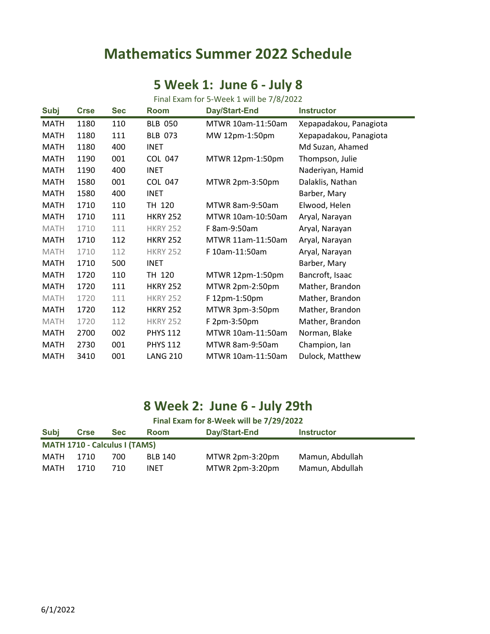## **Mathematics Summer 2022 Schedule**

#### **5 Week 1: June 6 - July 8**

| Final Exam for 5-Week 1 will be 7/8/2022 |             |            |                 |                   |                        |  |
|------------------------------------------|-------------|------------|-----------------|-------------------|------------------------|--|
| <b>Subj</b>                              | <b>Crse</b> | <b>Sec</b> | Room            | Day/Start-End     | <b>Instructor</b>      |  |
| <b>MATH</b>                              | 1180        | 110        | <b>BLB 050</b>  | MTWR 10am-11:50am | Xepapadakou, Panagiota |  |
| <b>MATH</b>                              | 1180        | 111        | <b>BLB 073</b>  | MW 12pm-1:50pm    | Xepapadakou, Panagiota |  |
| <b>MATH</b>                              | 1180        | 400        | <b>INET</b>     |                   | Md Suzan, Ahamed       |  |
| <b>MATH</b>                              | 1190        | 001        | <b>COL 047</b>  | MTWR 12pm-1:50pm  | Thompson, Julie        |  |
| <b>MATH</b>                              | 1190        | 400        | <b>INET</b>     |                   | Naderiyan, Hamid       |  |
| <b>MATH</b>                              | 1580        | 001        | COL 047         | MTWR 2pm-3:50pm   | Dalaklis, Nathan       |  |
| <b>MATH</b>                              | 1580        | 400        | <b>INET</b>     |                   | Barber, Mary           |  |
| <b>MATH</b>                              | 1710        | 110        | TH 120          | MTWR 8am-9:50am   | Elwood, Helen          |  |
| <b>MATH</b>                              | 1710        | 111        | <b>HKRY 252</b> | MTWR 10am-10:50am | Aryal, Narayan         |  |
| <b>MATH</b>                              | 1710        | 111        | <b>HKRY 252</b> | F 8am-9:50am      | Aryal, Narayan         |  |
| <b>MATH</b>                              | 1710        | 112        | <b>HKRY 252</b> | MTWR 11am-11:50am | Aryal, Narayan         |  |
| <b>MATH</b>                              | 1710        | 112        | <b>HKRY 252</b> | F 10am-11:50am    | Aryal, Narayan         |  |
| <b>MATH</b>                              | 1710        | 500        | <b>INET</b>     |                   | Barber, Mary           |  |
| <b>MATH</b>                              | 1720        | 110        | TH 120          | MTWR 12pm-1:50pm  | Bancroft, Isaac        |  |
| <b>MATH</b>                              | 1720        | 111        | <b>HKRY 252</b> | MTWR 2pm-2:50pm   | Mather, Brandon        |  |
| <b>MATH</b>                              | 1720        | 111        | <b>HKRY 252</b> | F 12pm-1:50pm     | Mather, Brandon        |  |
| <b>MATH</b>                              | 1720        | 112        | <b>HKRY 252</b> | MTWR 3pm-3:50pm   | Mather, Brandon        |  |
| <b>MATH</b>                              | 1720        | 112        | <b>HKRY 252</b> | F 2pm-3:50pm      | Mather, Brandon        |  |
| <b>MATH</b>                              | 2700        | 002        | <b>PHYS 112</b> | MTWR 10am-11:50am | Norman, Blake          |  |
| MATH                                     | 2730        | 001        | <b>PHYS 112</b> | MTWR 8am-9:50am   | Champion, Ian          |  |
| MATH                                     | 3410        | 001        | <b>LANG 210</b> | MTWR 10am-11:50am | Dulock, Matthew        |  |

### **8 Week 2: June 6 - July 29th**

| Final Exam for 8-Week will be 7/29/2022 |             |            |                |                 |                   |  |
|-----------------------------------------|-------------|------------|----------------|-----------------|-------------------|--|
| Subj                                    | <b>Crse</b> | <b>Sec</b> | <b>Room</b>    | Day/Start-End   | <b>Instructor</b> |  |
| <b>MATH 1710 - Calculus I (TAMS)</b>    |             |            |                |                 |                   |  |
| MATH                                    | 1710        | 700.       | <b>BLB 140</b> | MTWR 2pm-3:20pm | Mamun, Abdullah   |  |
| MATH                                    | 1710        | 710        | <b>INET</b>    | MTWR 2pm-3:20pm | Mamun, Abdullah   |  |